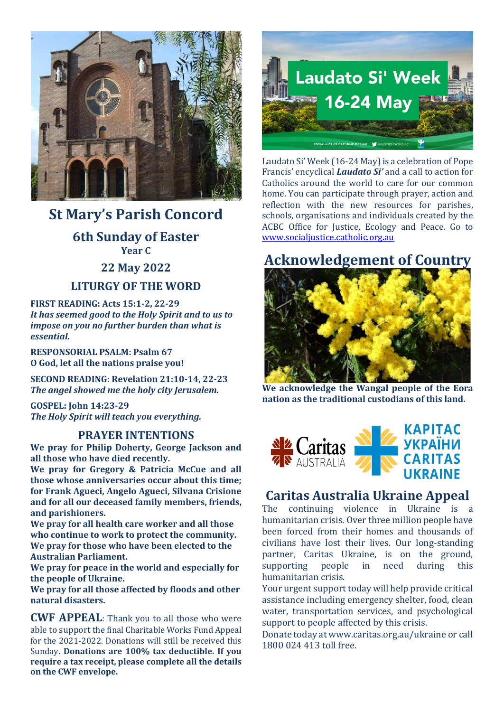

## **St Mary's Parish Concord**

**6th Sunday of Easter Year C**

**22 May 2022**

#### **LITURGY OF THE WORD**

**FIRST READING: Acts 15:1-2, 22-29** *It has seemed good to the Holy Spirit and to us to impose on you no further burden than what is essential.*

**RESPONSORIAL PSALM: Psalm 67 O God, let all the nations praise you!**

**SECOND READING: Revelation 21:10-14, 22-23** *The angel showed me the holy city Jerusalem.*

**GOSPEL: John 14:23-29** *The Holy Spirit will teach you everything.*

#### **PRAYER INTENTIONS**

**We pray for Philip Doherty, George Jackson and all those who have died recently.**

**We pray for Gregory & Patricia McCue and all those whose anniversaries occur about this time; for Frank Agueci, Angelo Agueci, Silvana Crisione and for all our deceased family members, friends, and parishioners.**

**We pray for all health care worker and all those who continue to work to protect the community. We pray for those who have been elected to the Australian Parliament.**

**We pray for peace in the world and especially for the people of Ukraine.**

**We pray for all those affected by floods and other natural disasters.**

**CWF APPEAL**: Thank you to all those who were able to support the final Charitable Works Fund Appeal for the 2021-2022. Donations will still be received this Sunday. **Donations are 100% tax deductible. If you require a tax receipt, please complete all the details on the CWF envelope.**



Laudato Si' Week (16-24 May) is a celebration of Pope Francis' encyclical *Laudato Si'* and a call to action for Catholics around the world to care for our common home. You can participate through prayer, action and reflection with the new resources for parishes, schools, organisations and individuals created by the ACBC Office for Justice, Ecology and Peace. Go to [www.socialjustice.catholic.org.au](http://www.socialjustice.catholic.org.au/)

# **Acknowledgement of Country**



**We acknowledge the Wangal people of the Eora nation as the traditional custodians of this land.** 



### **Caritas Australia Ukraine Appeal**

The continuing violence in Ukraine is a humanitarian crisis. Over three million people have been forced from their homes and thousands of civilians have lost their lives. Our long-standing partner, Caritas Ukraine, is on the ground, supporting people in need during this humanitarian crisis.

Your urgent support today will help provide critical assistance including emergency shelter, food, clean water, transportation services, and psychological support to people affected by this crisis.

Donate today at www.caritas.org.au/ukraine or call 1800 024 413 toll free.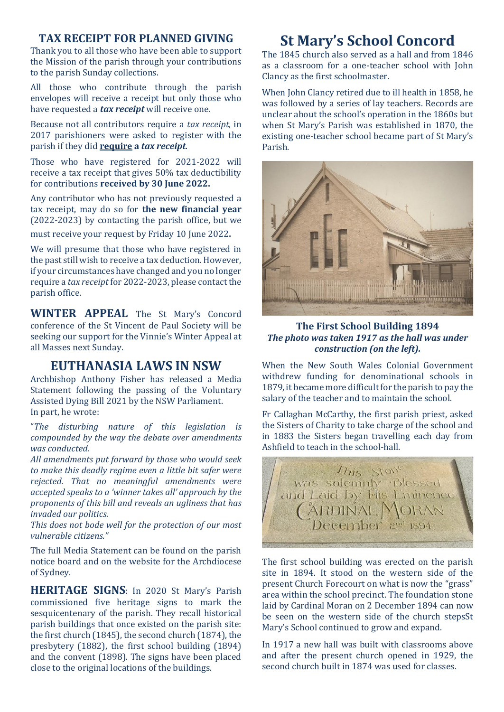#### **TAX RECEIPT FOR PLANNED GIVING**

Thank you to all those who have been able to support the Mission of the parish through your contributions to the parish Sunday collections.

All those who contribute through the parish envelopes will receive a receipt but only those who have requested a *tax receipt* will receive one.

Because not all contributors require a *tax receipt*, in 2017 parishioners were asked to register with the parish if they did **require a** *tax receipt*.

Those who have registered for 2021-2022 will receive a tax receipt that gives 50% tax deductibility for contributions **received by 30 June 2022.**

Any contributor who has not previously requested a tax receipt, may do so for **the new financial year** (2022-2023) by contacting the parish office, but we

must receive your request by Friday 10 June 2022.

We will presume that those who have registered in the past still wish to receive a tax deduction. However, if your circumstances have changed and you no longer require a *tax receipt*for 2022-2023, please contact the parish office.

**WINTER APPEAL** The St Mary's Concord conference of the St Vincent de Paul Society will be seeking our support for the Vinnie's Winter Appeal at all Masses next Sunday.

#### **EUTHANASIA LAWS IN NSW**

Archbishop Anthony Fisher has released a Media Statement following the passing of the Voluntary Assisted Dying Bill 2021 by the NSW Parliament. In part, he wrote:

"*The disturbing nature of this legislation is compounded by the way the debate over amendments was conducted.* 

*All amendments put forward by those who would seek to make this deadly regime even a little bit safer were rejected. That no meaningful amendments were accepted speaks to a 'winner takes all' approach by the proponents of this bill and reveals an ugliness that has invaded our politics.* 

*This does not bode well for the protection of our most vulnerable citizens."*

The full Media Statement can be found on the parish notice board and on the website for the Archdiocese of Sydney.

**HERITAGE SIGNS**: In 2020 St Mary's Parish commissioned five heritage signs to mark the sesquicentenary of the parish. They recall historical parish buildings that once existed on the parish site: the first church (1845), the second church (1874), the presbytery (1882), the first school building (1894) and the convent (1898). The signs have been placed close to the original locations of the buildings.

# **St Mary's School Concord**

The 1845 church also served as a hall and from 1846 as a classroom for a one-teacher school with John Clancy as the first schoolmaster.

When John Clancy retired due to ill health in 1858, he was followed by a series of lay teachers. Records are unclear about the school's operation in the 1860s but when St Mary's Parish was established in 1870, the existing one-teacher school became part of St Mary's Parish.



**The First School Building 1894** *The photo was taken 1917 as the hall was under construction (on the left).*

When the New South Wales Colonial Government withdrew funding for denominational schools in 1879, it became more difficult for the parish to pay the salary of the teacher and to maintain the school.

Fr Callaghan McCarthy, the first parish priest, asked the Sisters of Charity to take charge of the school and in 1883 the Sisters began travelling each day from Ashfield to teach in the school-hall.



The first school building was erected on the parish site in 1894. It stood on the western side of the present Church Forecourt on what is now the "grass" area within the school precinct. The foundation stone laid by Cardinal Moran on 2 December 1894 can now be seen on the western side of the church stepsSt Mary's School continued to grow and expand.

In 1917 a new hall was built with classrooms above and after the present church opened in 1929, the second church built in 1874 was used for classes.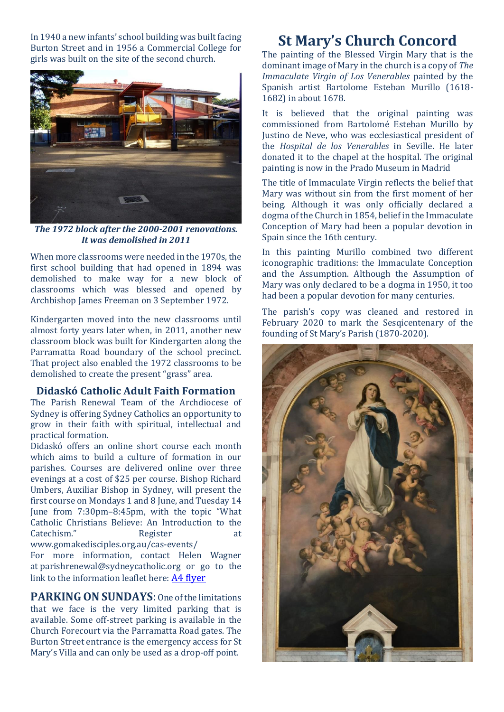In 1940 a new infants' school building was built facing Burton Street and in 1956 a Commercial College for girls was built on the site of the second church.



*The 1972 block after the 2000-2001 renovations. It was demolished in 2011*

When more classrooms were needed in the 1970s, the first school building that had opened in 1894 was demolished to make way for a new block of classrooms which was blessed and opened by Archbishop James Freeman on 3 September 1972.

Kindergarten moved into the new classrooms until almost forty years later when, in 2011, another new classroom block was built for Kindergarten along the Parramatta Road boundary of the school precinct. That project also enabled the 1972 classrooms to be demolished to create the present "grass" area.

#### **Didaskó Catholic Adult Faith Formation**

The Parish Renewal Team of the Archdiocese of Sydney is offering Sydney Catholics an opportunity to grow in their faith with spiritual, intellectual and practical formation.

Didaskó offers an online short course each month which aims to build a culture of formation in our parishes. Courses are delivered online over three evenings at a cost of \$25 per course. Bishop Richard Umbers, Auxiliar Bishop in Sydney, will present the first course on Mondays 1 and 8 June, and Tuesday 14 June from 7:30pm–8:45pm, with the topic "What Catholic Christians Believe: An Introduction to the Catechism." Register at [www.gomakedisciples.org.au/cas-events/](https://comms.sydneycatholic.org/ch/75218/bxqq7/2219737/cxHaylqe_G2Ku55e3z8xsxqITNu92ThlPqPyUpar.html)

For more information, contact Helen Wagner at [parishrenewal@sydneycatholic.org](mailto:parishrenewal@sydneycatholic.org) or go to the link to the information leaflet here: [A4 flyer](https://www.gomakedisciples.org.au/wp-content/uploads/2022/05/Didasko-Flyerv7.pdf)

**PARKING ON SUNDAYS**: One of the limitations that we face is the very limited parking that is available. Some off-street parking is available in the Church Forecourt via the Parramatta Road gates. The Burton Street entrance is the emergency access for St Mary's Villa and can only be used as a drop-off point.

# **St Mary's Church Concord**

The painting of the Blessed Virgin Mary that is the dominant image of Mary in the church is a copy of *The Immaculate Virgin of Los Venerables* painted by the Spanish artist Bartolome Esteban Murillo (1618- 1682) in about 1678.

It is believed that the original painting was commissioned from Bartolomé Esteban Murillo by Justino de Neve, who was ecclesiastical president of the *Hospital de los Venerables* in Seville. He later donated it to the chapel at the hospital. The original painting is now in the Prado Museum in Madrid

The title of Immaculate Virgin reflects the belief that Mary was without sin from the first moment of her being. Although it was only officially declared a dogma of the Church in 1854, belief in the Immaculate Conception of Mary had been a popular devotion in Spain since the 16th century.

In this painting Murillo combined two different iconographic traditions: the Immaculate Conception and the Assumption. Although the Assumption of Mary was only declared to be a dogma in 1950, it too had been a popular devotion for many centuries.

The parish's copy was cleaned and restored in February 2020 to mark the Sesqicentenary of the founding of St Mary's Parish (1870-2020).